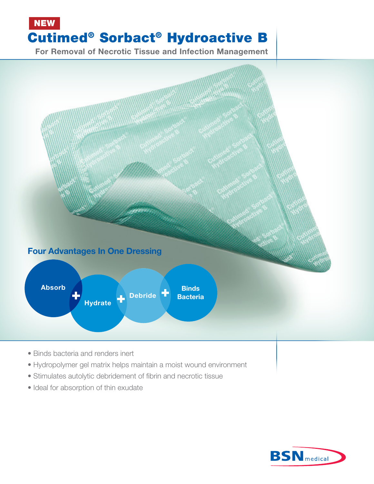## NEW Cutimed® Sorbact® Hydroactive B

For Removal of Necrotic Tissue and Infection Management



- Stimulates autolytic debridement of fibrin and necrotic tissue
- Ideal for absorption of thin exudate